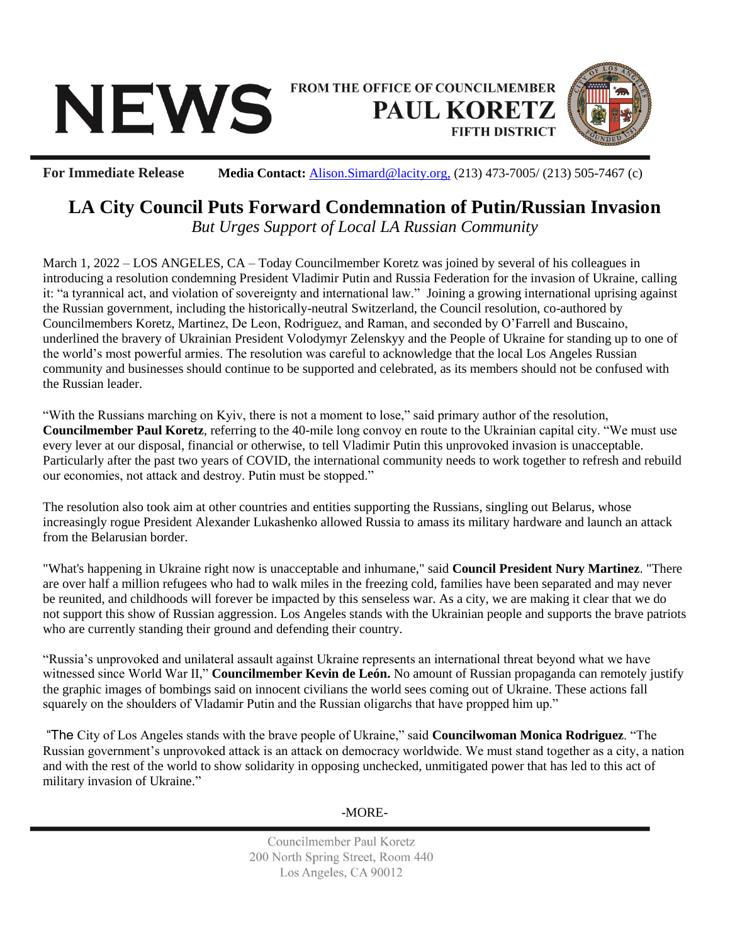## FROM THE OFFICE OF COUNCILMEMBER **NEWS PAUL KORETZ FIFTH DISTRICT**



**For Immediate Release Media Contact:** [Alison.Simard@lacity.org,](mailto:Alison.Simard@lacity.org) (213) 473-7005/ (213) 505-7467 (c)

## **LA City Council Puts Forward Condemnation of Putin/Russian Invasion**

*But Urges Support of Local LA Russian Community*

March 1, 2022 – LOS ANGELES, CA – Today Councilmember Koretz was joined by several of his colleagues in introducing a resolution condemning President Vladimir Putin and Russia Federation for the invasion of Ukraine, calling it: "a tyrannical act, and violation of sovereignty and international law." Joining a growing international uprising against the Russian government, including the historically-neutral Switzerland, the Council resolution, co-authored by Councilmembers Koretz, Martinez, De Leon, Rodriguez, and Raman, and seconded by O'Farrell and Buscaino, underlined the bravery of Ukrainian President Volodymyr Zelenskyy and the People of Ukraine for standing up to one of the world's most powerful armies. The resolution was careful to acknowledge that the local Los Angeles Russian community and businesses should continue to be supported and celebrated, as its members should not be confused with the Russian leader.

"With the Russians marching on Kyiv, there is not a moment to lose," said primary author of the resolution, **Councilmember Paul Koretz**, referring to the 40-mile long convoy en route to the Ukrainian capital city. "We must use every lever at our disposal, financial or otherwise, to tell Vladimir Putin this unprovoked invasion is unacceptable. Particularly after the past two years of COVID, the international community needs to work together to refresh and rebuild our economies, not attack and destroy. Putin must be stopped."

The resolution also took aim at other countries and entities supporting the Russians, singling out Belarus, whose increasingly rogue President Alexander Lukashenko allowed Russia to amass its military hardware and launch an attack from the Belarusian border.

"What's happening in Ukraine right now is unacceptable and inhumane," said **Council President Nury Martinez**. "There are over half a million refugees who had to walk miles in the freezing cold, families have been separated and may never be reunited, and childhoods will forever be impacted by this senseless war. As a city, we are making it clear that we do not support this show of Russian aggression. Los Angeles stands with the Ukrainian people and supports the brave patriots who are currently standing their ground and defending their country.

"Russia's unprovoked and unilateral assault against Ukraine represents an international threat beyond what we have witnessed since World War II," **Councilmember Kevin de León.** No amount of Russian propaganda can remotely justify the graphic images of bombings said on innocent civilians the world sees coming out of Ukraine. These actions fall squarely on the shoulders of Vladamir Putin and the Russian oligarchs that have propped him up."

"The City of Los Angeles stands with the brave people of Ukraine," said **Councilwoman Monica Rodriguez**. "The Russian government's unprovoked attack is an attack on democracy worldwide. We must stand together as a city, a nation and with the rest of the world to show solidarity in opposing unchecked, unmitigated power that has led to this act of military invasion of Ukraine."

-MORE-

Councilmember Paul Koretz 200 North Spring Street, Room 440 Los Angeles, CA 90012